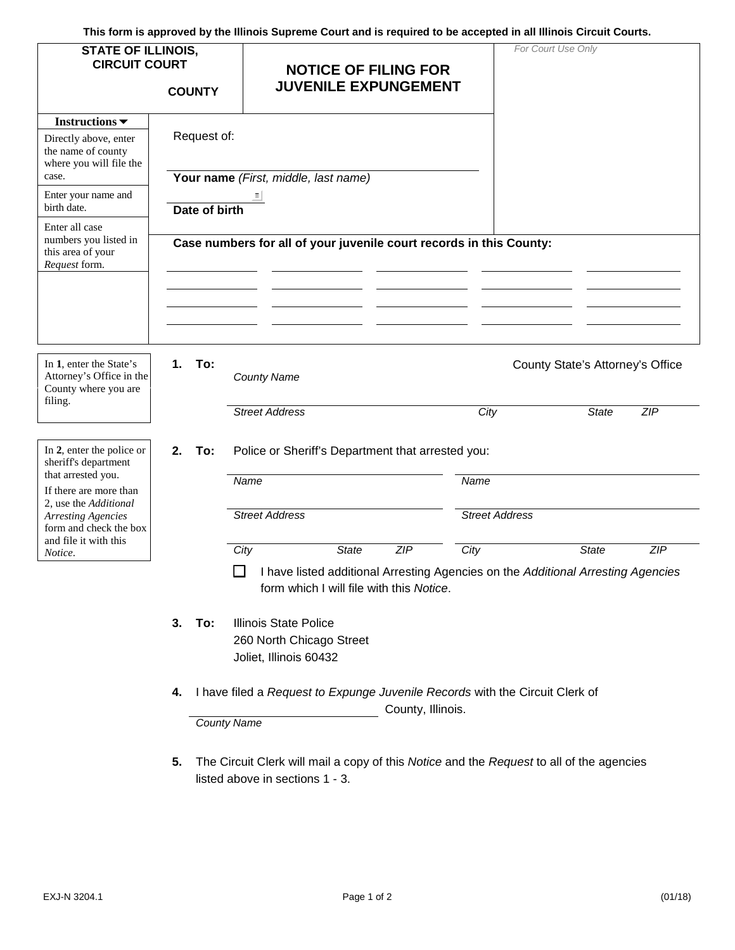**This form is approved by the Illinois Supreme Court and is required to be accepted in all Illinois Circuit Courts.**

| <b>STATE OF ILLINOIS,</b><br><b>CIRCUIT COURT</b>                                                                            | <b>COUNTY</b> |                    |                                                                                                                                        |              | <b>NOTICE OF FILING FOR</b><br><b>JUVENILE EXPUNGEMENT</b> |                       | For Court Use Only |                                  |     |
|------------------------------------------------------------------------------------------------------------------------------|---------------|--------------------|----------------------------------------------------------------------------------------------------------------------------------------|--------------|------------------------------------------------------------|-----------------------|--------------------|----------------------------------|-----|
| Instructions $\blacktriangledown$                                                                                            |               |                    |                                                                                                                                        |              |                                                            |                       |                    |                                  |     |
| Directly above, enter<br>the name of county<br>where you will file the<br>case.                                              | Request of:   |                    | Your name (First, middle, last name)                                                                                                   |              |                                                            |                       |                    |                                  |     |
| Enter your name and<br>birth date.                                                                                           | Date of birth |                    |                                                                                                                                        |              |                                                            |                       |                    |                                  |     |
| Enter all case<br>numbers you listed in<br>this area of your<br>Request form.                                                |               |                    | Case numbers for all of your juvenile court records in this County:                                                                    |              |                                                            |                       |                    |                                  |     |
|                                                                                                                              |               |                    |                                                                                                                                        |              |                                                            |                       |                    |                                  |     |
| In 1, enter the State's<br>Attorney's Office in the<br>County where you are<br>filing.                                       | 1.<br>To:     |                    | <b>County Name</b>                                                                                                                     |              |                                                            |                       |                    | County State's Attorney's Office |     |
|                                                                                                                              |               |                    | <b>Street Address</b>                                                                                                                  |              |                                                            | City                  |                    | <b>State</b>                     | ZIP |
| In 2, enter the police or<br>sheriff's department                                                                            | 2.<br>To:     |                    | Police or Sheriff's Department that arrested you:                                                                                      |              |                                                            |                       |                    |                                  |     |
| that arrested you.<br>If there are more than<br>2, use the Additional<br><b>Arresting Agencies</b><br>form and check the box |               |                    | Name                                                                                                                                   |              |                                                            | Name                  |                    |                                  |     |
|                                                                                                                              |               |                    | <b>Street Address</b>                                                                                                                  |              |                                                            | <b>Street Address</b> |                    |                                  |     |
| and file it with this<br>Notice.                                                                                             |               |                    | City                                                                                                                                   | <b>State</b> | ZIP                                                        | City                  |                    | <b>State</b>                     | ZIP |
|                                                                                                                              |               |                    | $\Box$<br>I have listed additional Arresting Agencies on the Additional Arresting Agencies<br>form which I will file with this Notice. |              |                                                            |                       |                    |                                  |     |
|                                                                                                                              | 3. To:        |                    | <b>Illinois State Police</b>                                                                                                           |              |                                                            |                       |                    |                                  |     |
|                                                                                                                              |               |                    | 260 North Chicago Street<br>Joliet, Illinois 60432                                                                                     |              |                                                            |                       |                    |                                  |     |
|                                                                                                                              | 4.            | <b>County Name</b> | I have filed a Request to Expunge Juvenile Records with the Circuit Clerk of                                                           |              | County, Illinois.                                          |                       |                    |                                  |     |
|                                                                                                                              |               |                    |                                                                                                                                        |              |                                                            |                       |                    |                                  |     |

**5.** The Circuit Clerk will mail a copy of this *Notice* and the *Request* to all of the agencies listed above in sections 1 - 3.